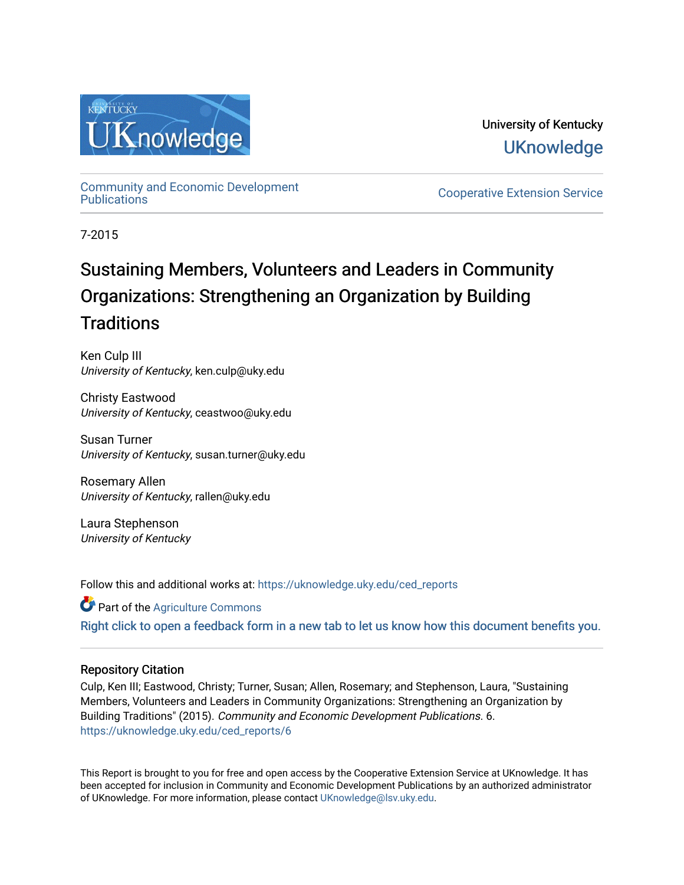

University of Kentucky **UKnowledge** 

[Community and Economic Development](https://uknowledge.uky.edu/ced_reports) 

**Cooperative Extension Service** 

7-2015

## Sustaining Members, Volunteers and Leaders in Community Organizations: Strengthening an Organization by Building **Traditions**

Ken Culp III University of Kentucky, ken.culp@uky.edu

Christy Eastwood University of Kentucky, ceastwoo@uky.edu

Susan Turner University of Kentucky, susan.turner@uky.edu

Rosemary Allen University of Kentucky, rallen@uky.edu

Laura Stephenson University of Kentucky

Follow this and additional works at: [https://uknowledge.uky.edu/ced\\_reports](https://uknowledge.uky.edu/ced_reports?utm_source=uknowledge.uky.edu%2Fced_reports%2F6&utm_medium=PDF&utm_campaign=PDFCoverPages)

Part of the [Agriculture Commons](http://network.bepress.com/hgg/discipline/1076?utm_source=uknowledge.uky.edu%2Fced_reports%2F6&utm_medium=PDF&utm_campaign=PDFCoverPages) [Right click to open a feedback form in a new tab to let us know how this document benefits you.](https://uky.az1.qualtrics.com/jfe/form/SV_9mq8fx2GnONRfz7)

#### Repository Citation

Culp, Ken III; Eastwood, Christy; Turner, Susan; Allen, Rosemary; and Stephenson, Laura, "Sustaining Members, Volunteers and Leaders in Community Organizations: Strengthening an Organization by Building Traditions" (2015). Community and Economic Development Publications. 6. [https://uknowledge.uky.edu/ced\\_reports/6](https://uknowledge.uky.edu/ced_reports/6?utm_source=uknowledge.uky.edu%2Fced_reports%2F6&utm_medium=PDF&utm_campaign=PDFCoverPages) 

This Report is brought to you for free and open access by the Cooperative Extension Service at UKnowledge. It has been accepted for inclusion in Community and Economic Development Publications by an authorized administrator of UKnowledge. For more information, please contact [UKnowledge@lsv.uky.edu.](mailto:UKnowledge@lsv.uky.edu)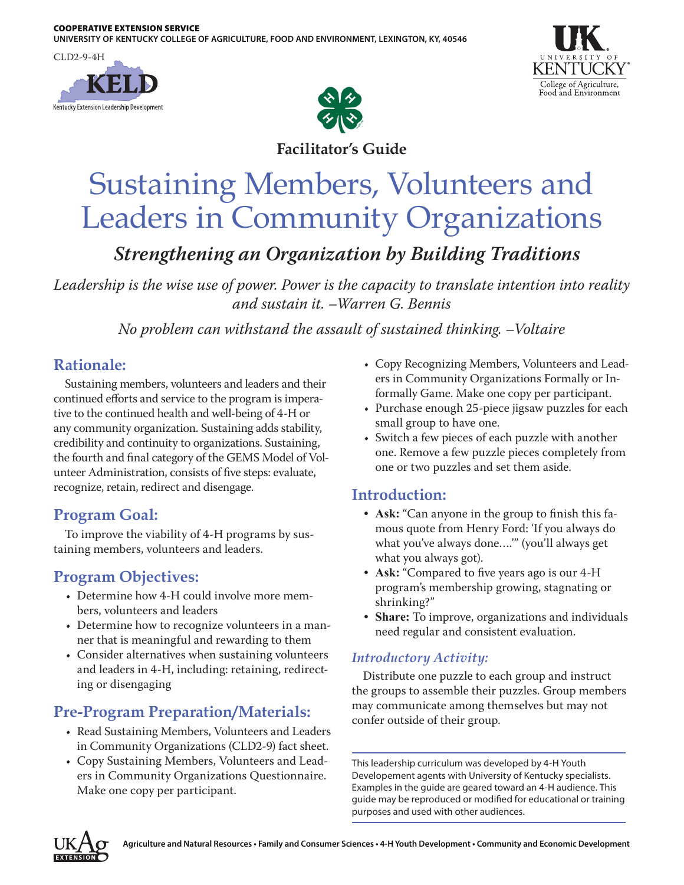**UNIVERSITY OF KENTUCKY COLLEGE OF AGRICULTURE, FOOD AND ENVIRONMENT, LEXINGTON, KY, 40546**

CLD2-9-4H

Kentucky Extension Leadership Development



College of Agriculture, Food and Environment

**Facilitator's Guide**

# Sustaining Members, Volunteers and Leaders in Community Organizations

*Strengthening an Organization by Building Traditions*

*Leadership is the wise use of power. Power is the capacity to translate intention into reality and sustain it. –Warren G. Bennis*

*No problem can withstand the assault of sustained thinking. –Voltaire*

## **Rationale:**

Sustaining members, volunteers and leaders and their continued efforts and service to the program is imperative to the continued health and well-being of 4-H or any community organization. Sustaining adds stability, credibility and continuity to organizations. Sustaining, the fourth and final category of the GEMS Model of Volunteer Administration, consists of five steps: evaluate, recognize, retain, redirect and disengage.

## **Program Goal:**

To improve the viability of 4-H programs by sustaining members, volunteers and leaders.

## **Program Objectives:**

- Determine how 4-H could involve more members, volunteers and leaders
- Determine how to recognize volunteers in a manner that is meaningful and rewarding to them
- Consider alternatives when sustaining volunteers and leaders in 4-H, including: retaining, redirecting or disengaging

## **Pre-Program Preparation/Materials:**

- Read Sustaining Members, Volunteers and Leaders in Community Organizations (CLD2-9) fact sheet.
- Copy Sustaining Members, Volunteers and Leaders in Community Organizations Questionnaire. Make one copy per participant.
- Copy Recognizing Members, Volunteers and Leaders in Community Organizations Formally or Informally Game. Make one copy per participant.
- Purchase enough 25-piece jigsaw puzzles for each small group to have one.
- Switch a few pieces of each puzzle with another one. Remove a few puzzle pieces completely from one or two puzzles and set them aside.

## **Introduction:**

- **• Ask:** "Can anyone in the group to finish this famous quote from Henry Ford: 'If you always do what you've always done….'" (you'll always get what you always got).
- **• Ask:** "Compared to five years ago is our 4-H program's membership growing, stagnating or shrinking?"
- **• Share:** To improve, organizations and individuals need regular and consistent evaluation.

## *Introductory Activity:*

Distribute one puzzle to each group and instruct the groups to assemble their puzzles. Group members may communicate among themselves but may not confer outside of their group.

This leadership curriculum was developed by 4-H Youth Developement agents with University of Kentucky specialists. Examples in the guide are geared toward an 4-H audience. This guide may be reproduced or modified for educational or training purposes and used with other audiences.

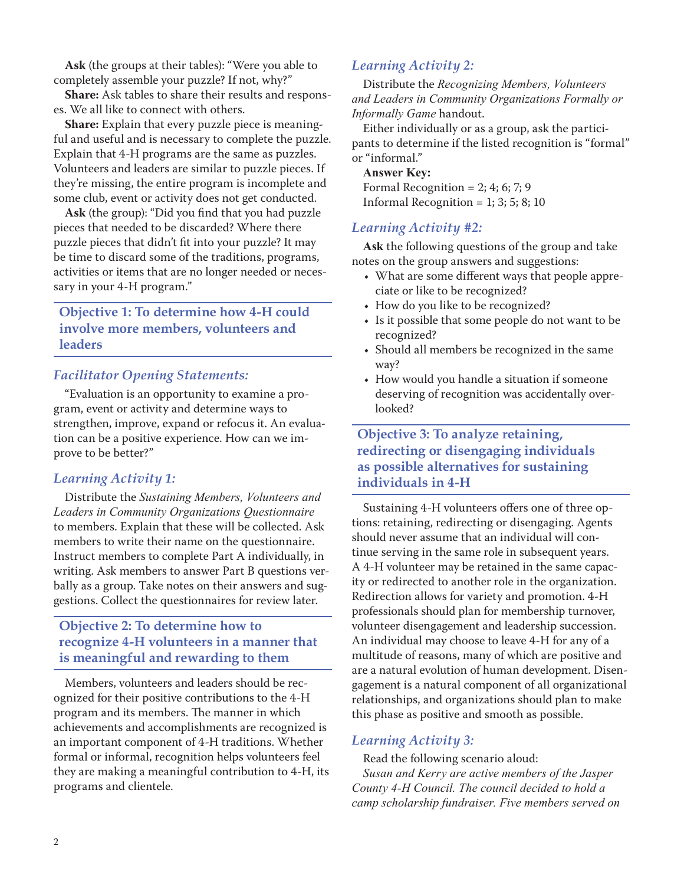**Ask** (the groups at their tables): "Were you able to completely assemble your puzzle? If not, why?"

**Share:** Ask tables to share their results and responses. We all like to connect with others.

**Share:** Explain that every puzzle piece is meaningful and useful and is necessary to complete the puzzle. Explain that 4-H programs are the same as puzzles. Volunteers and leaders are similar to puzzle pieces. If they're missing, the entire program is incomplete and some club, event or activity does not get conducted.

**Ask** (the group): "Did you find that you had puzzle pieces that needed to be discarded? Where there puzzle pieces that didn't fit into your puzzle? It may be time to discard some of the traditions, programs, activities or items that are no longer needed or necessary in your 4-H program."

**Objective 1: To determine how 4-H could involve more members, volunteers and leaders**

#### *Facilitator Opening Statements:*

"Evaluation is an opportunity to examine a program, event or activity and determine ways to strengthen, improve, expand or refocus it. An evaluation can be a positive experience. How can we improve to be better?"

#### *Learning Activity 1:*

Distribute the *Sustaining Members, Volunteers and Leaders in Community Organizations Questionnaire* to members. Explain that these will be collected. Ask members to write their name on the questionnaire. Instruct members to complete Part A individually, in writing. Ask members to answer Part B questions verbally as a group. Take notes on their answers and suggestions. Collect the questionnaires for review later.

#### **Objective 2: To determine how to recognize 4-H volunteers in a manner that is meaningful and rewarding to them**

Members, volunteers and leaders should be recognized for their positive contributions to the 4-H program and its members. The manner in which achievements and accomplishments are recognized is an important component of 4-H traditions. Whether formal or informal, recognition helps volunteers feel they are making a meaningful contribution to 4-H, its programs and clientele.

#### *Learning Activity 2:*

Distribute the *Recognizing Members, Volunteers and Leaders in Community Organizations Formally or Informally Game* handout.

Either individually or as a group, ask the participants to determine if the listed recognition is "formal" or "informal."

**Answer Key:** Formal Recognition = 2; 4; 6; 7; 9 Informal Recognition =  $1$ ; 3; 5; 8; 10

#### *Learning Activity #2:*

**Ask** the following questions of the group and take notes on the group answers and suggestions:

- What are some different ways that people appreciate or like to be recognized?
- How do you like to be recognized?
- Is it possible that some people do not want to be recognized?
- Should all members be recognized in the same way?
- How would you handle a situation if someone deserving of recognition was accidentally overlooked?

#### **Objective 3: To analyze retaining, redirecting or disengaging individuals as possible alternatives for sustaining individuals in 4-H**

Sustaining 4-H volunteers offers one of three options: retaining, redirecting or disengaging. Agents should never assume that an individual will continue serving in the same role in subsequent years. A 4-H volunteer may be retained in the same capacity or redirected to another role in the organization. Redirection allows for variety and promotion. 4-H professionals should plan for membership turnover, volunteer disengagement and leadership succession. An individual may choose to leave 4-H for any of a multitude of reasons, many of which are positive and are a natural evolution of human development. Disengagement is a natural component of all organizational relationships, and organizations should plan to make this phase as positive and smooth as possible.

#### *Learning Activity 3:*

Read the following scenario aloud: *Susan and Kerry are active members of the Jasper County 4-H Council. The council decided to hold a camp scholarship fundraiser. Five members served on*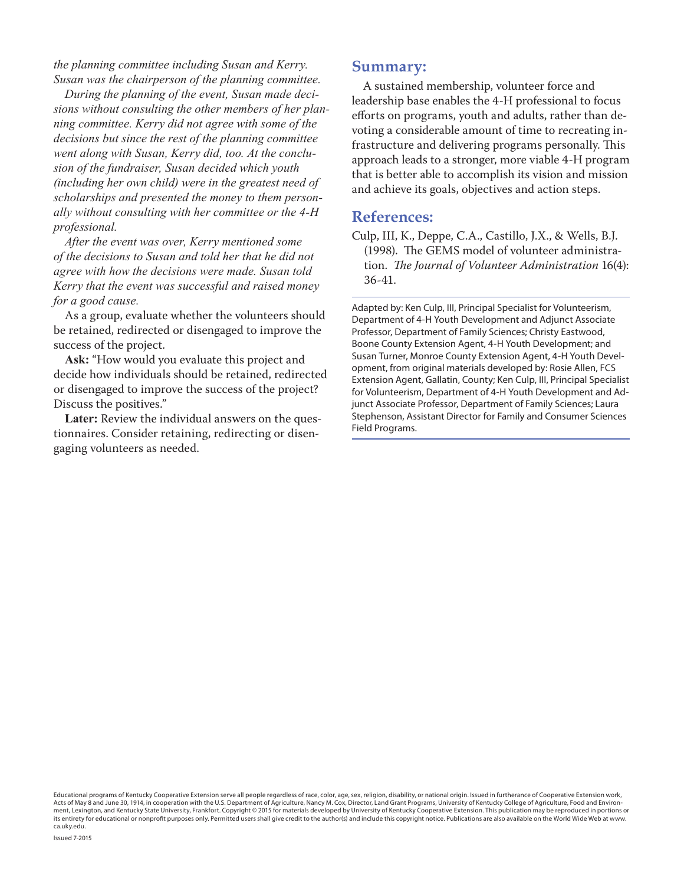*the planning committee including Susan and Kerry. Susan was the chairperson of the planning committee.*

*During the planning of the event, Susan made decisions without consulting the other members of her planning committee. Kerry did not agree with some of the decisions but since the rest of the planning committee went along with Susan, Kerry did, too. At the conclusion of the fundraiser, Susan decided which youth (including her own child) were in the greatest need of scholarships and presented the money to them personally without consulting with her committee or the 4-H professional.*

*After the event was over, Kerry mentioned some of the decisions to Susan and told her that he did not agree with how the decisions were made. Susan told Kerry that the event was successful and raised money for a good cause.*

As a group, evaluate whether the volunteers should be retained, redirected or disengaged to improve the success of the project.

**Ask:** "How would you evaluate this project and decide how individuals should be retained, redirected or disengaged to improve the success of the project? Discuss the positives."

**Later:** Review the individual answers on the questionnaires. Consider retaining, redirecting or disengaging volunteers as needed.

#### **Summary:**

A sustained membership, volunteer force and leadership base enables the 4-H professional to focus efforts on programs, youth and adults, rather than devoting a considerable amount of time to recreating infrastructure and delivering programs personally. This approach leads to a stronger, more viable 4-H program that is better able to accomplish its vision and mission and achieve its goals, objectives and action steps.

#### **References:**

Culp, III, K., Deppe, C.A., Castillo, J.X., & Wells, B.J. (1998). The GEMS model of volunteer administration. *The Journal of Volunteer Administration* 16(4): 36-41.

Adapted by: Ken Culp, III, Principal Specialist for Volunteerism, Department of 4-H Youth Development and Adjunct Associate Professor, Department of Family Sciences; Christy Eastwood, Boone County Extension Agent, 4-H Youth Development; and Susan Turner, Monroe County Extension Agent, 4-H Youth Development, from original materials developed by: Rosie Allen, FCS Extension Agent, Gallatin, County; Ken Culp, III, Principal Specialist for Volunteerism, Department of 4-H Youth Development and Adjunct Associate Professor, Department of Family Sciences; Laura Stephenson, Assistant Director for Family and Consumer Sciences Field Programs.

Educational programs of Kentucky Cooperative Extension serve all people regardless of race, color, age, sex, religion, disability, or national origin. Issued in furtherance of Cooperative Extension work, Acts of May 8 and June 30, 1914, in cooperation with the U.S. Department of Agriculture, Nancy M. Cox, Director, Land Grant Programs, University of Kentucky College of Agriculture, Food and Environment, Lexington, and Kentucky State University, Frankfort. Copyright © 2015 for materials developed by University of Kentucky Cooperative Extension. This publication may be reproduced in portions or its entirety for educational or nonprofit purposes only. Permitted users shall give credit to the author(s) and include this copyright notice. Publications are also available on the World Wide Web at www. ca.uky.edu.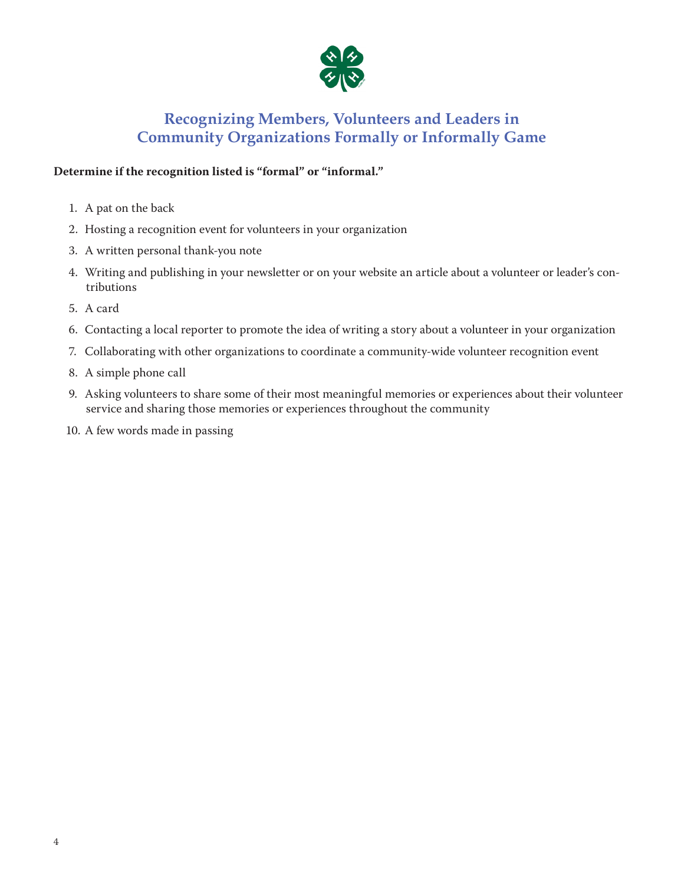

## **Recognizing Members, Volunteers and Leaders in Community Organizations Formally or Informally Game**

#### **Determine if the recognition listed is "formal" or "informal."**

- 1. A pat on the back
- 2. Hosting a recognition event for volunteers in your organization
- 3. A written personal thank-you note
- 4. Writing and publishing in your newsletter or on your website an article about a volunteer or leader's contributions
- 5. A card
- 6. Contacting a local reporter to promote the idea of writing a story about a volunteer in your organization
- 7. Collaborating with other organizations to coordinate a community-wide volunteer recognition event
- 8. A simple phone call
- 9. Asking volunteers to share some of their most meaningful memories or experiences about their volunteer service and sharing those memories or experiences throughout the community
- 10. A few words made in passing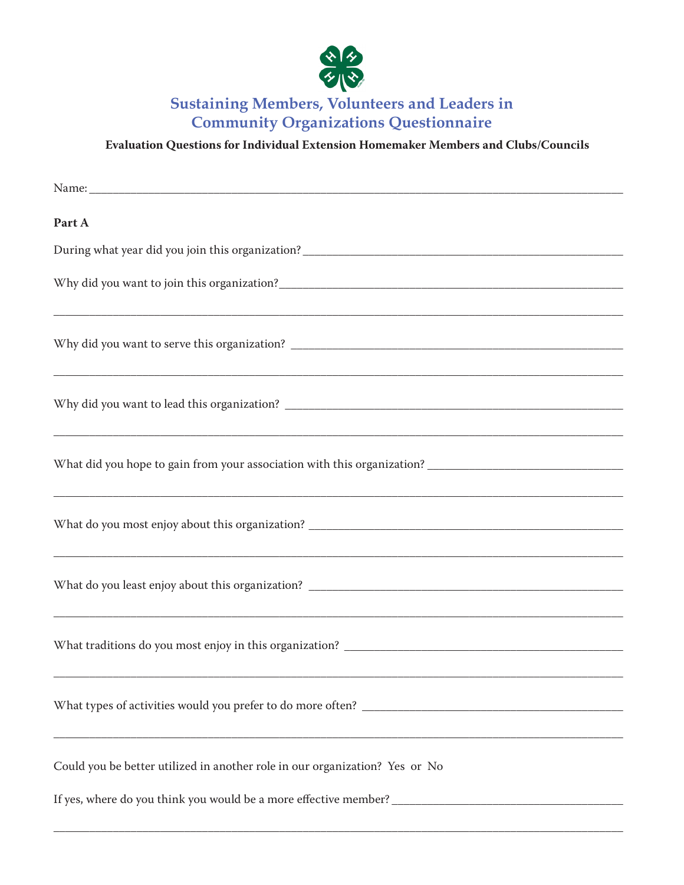

**Sustaining Members, Volunteers and Leaders in Community Organizations Questionnaire** 

**Evaluation Questions for Individual Extension Homemaker Members and Clubs/Councils**

| Part A                                                                                                                |
|-----------------------------------------------------------------------------------------------------------------------|
|                                                                                                                       |
|                                                                                                                       |
|                                                                                                                       |
| <u> 1989 - Johann Stoff, deutscher Stoff, der Stoff, der Stoff, der Stoff, der Stoff, der Stoff, der Stoff, der S</u> |
|                                                                                                                       |
|                                                                                                                       |
|                                                                                                                       |
|                                                                                                                       |
| <u> 1989 - Johann John Stone, Amerikaansk politiker († 1989)</u>                                                      |
| Could you be better utilized in another role in our organization? Yes or No                                           |
|                                                                                                                       |